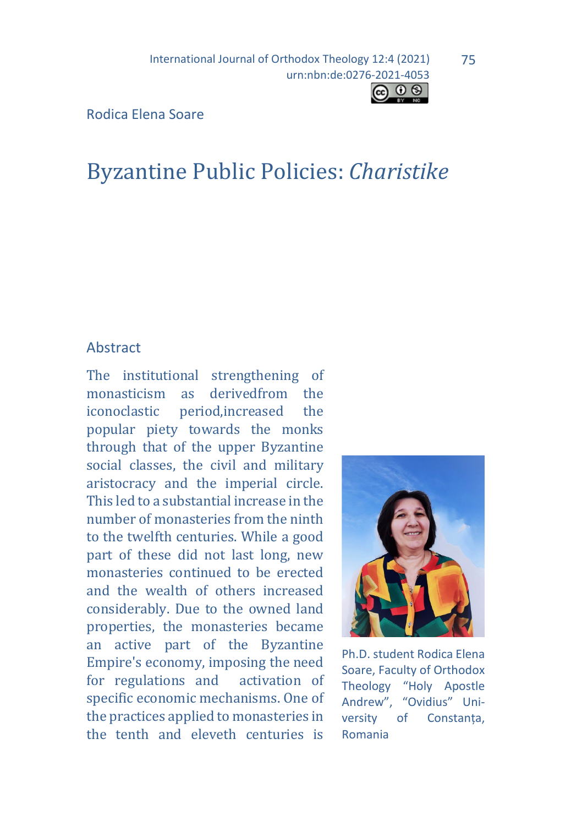

j Rodica Elena Soare

# Byzantine Public Policies: *Charistike*

#### Abstract

The institutional strengthening of<br>monasticism as derivedfrom the monasticism as derivedfrom the<br>iconoclastic period.increased the neriod, increased popular piety towards the monks through that of the upper Byzantine social classes, the civil and military aristocracy and the imperial circle. This led to a substantial increase in the number of monasteries from the ninth to the twelfth centuries. While a good part of these did not last long, new monasteries continued to be erected and the wealth of others increased considerably. Due to the owned land properties, the monasteries became an active part of the Byzantine Empire's economy, imposing the need for regulations and activation of specific economic mechanisms. One of the practices applied to monasteries in the tenth and eleveth centuries is



Ph.D. student Rodica Elena Soare, Faculty of Orthodox Theology "Holy Apostle Andrew", "Ovidius" University of Constanța, Romania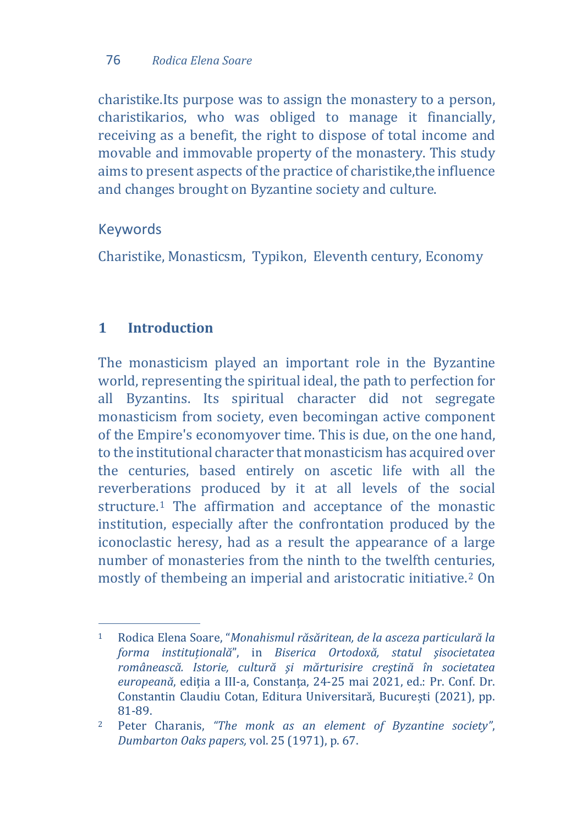charistike.Its purpose was to assign the monastery to a person, charistikarios, who was obliged to manage it financially, receiving as a benefit, the right to dispose of total income and movable and immovable property of the monastery. This study aims to present aspects of the practice of charistike,the influence and changes brought on Byzantine society and culture.

## Keywords

Charistike, Monasticsm, Typikon, Eleventh century, Economy

# **1 Introduction**

The monasticism played an important role in the Byzantine world, representing the spiritual ideal, the path to perfection for all Byzantins. Its spiritual character did not segregate monasticism from society, even becomingan active component of the Empire's economyover time. This is due, on the one hand, to the institutional character that monasticism has acquired over the centuries, based entirely on ascetic life with all the reverberations produced by it at all levels of the social structure.[1](#page-1-0) The affirmation and acceptance of the monastic institution, especially after the confrontation produced by the iconoclastic heresy, had as a result the appearance of a large number of monasteries from the ninth to the twelfth cent[ur](#page-1-1)ies, mostly of thembeing an imperial and aristocratic initiative.2 On

<span id="page-1-0"></span>j <sup>1</sup> Rodica Elena Soare, "*Monahismul răsăritean, de la asceza particulară la forma instituțională*", in *Biserica Ortodoxă, statul şisocietatea românească. Istorie, cultură şi mărturisire creştină în societatea europeană*, ediția a III-a, Constanța, 24-25 mai 2021, ed.: Pr. Conf. Dr. Constantin Claudiu Cotan, Editura Universitară, București (2021), pp. 81-89.

<span id="page-1-1"></span><sup>2</sup> Peter Charanis, *"The monk as an element of Byzantine society"*, *Dumbarton Oaks papers,* vol. 25 (1971), p. 67.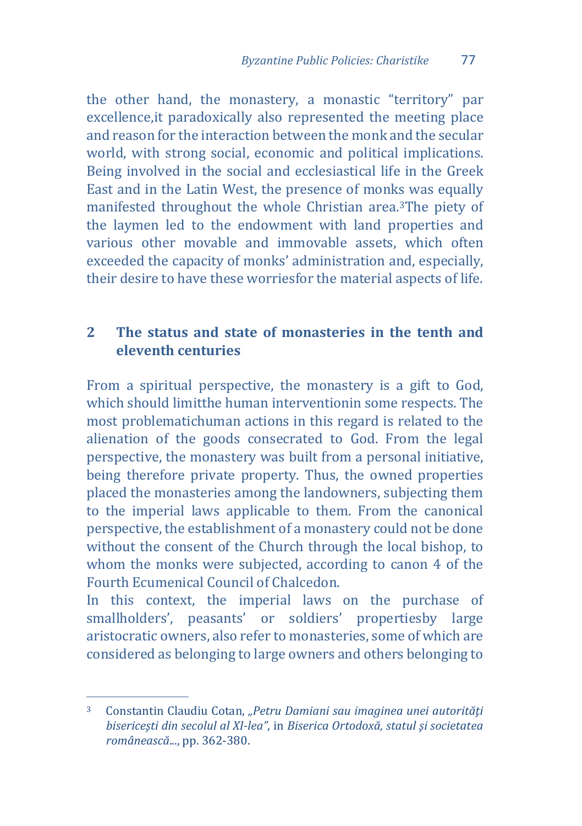the other hand, the monastery, a monastic "territory" par excellence,it paradoxically also represented the meeting place and reason for the interaction between the monk and the secular world, with strong social, economic and political implications. Being involved in the social and ecclesiastical life in the Greek East and in the Latin West, the presence of monks was equally manifested throughout the whole Christian area[.3](#page-2-0)The piety of the laymen led to the endowment with land properties and various other movable and immovable assets, which often exceeded the capacity of monks' administration and, especially, their desire to have these worriesfor the material aspects of life.

## **2 The status and state of monasteries in the tenth and eleventh centuries**

From a spiritual perspective, the monastery is a gift to God, which should limitthe human interventionin some respects. The most problematichuman actions in this regard is related to the alienation of the goods consecrated to God. From the legal perspective, the monastery was built from a personal initiative, being therefore private property. Thus, the owned properties placed the monasteries among the landowners, subjecting them to the imperial laws applicable to them. From the canonical perspective, the establishment of a monastery could not be done without the consent of the Church through the local bishop, to whom the monks were subjected, according to canon 4 of the Fourth Ecumenical Council of Chalcedon.

In this context, the imperial laws on the purchase of smallholders', peasants' or soldiers' propertiesby large aristocratic owners, also refer to monasteries, some of which are considered as belonging to large owners and others belonging to

<span id="page-2-0"></span> $\overline{3}$ <sup>3</sup> Constantin Claudiu Cotan, *"Petru Damiani sau imaginea unei autorităţi bisericeşti din secolul al XI-lea"*, in *Biserica Ortodoxă, statul şi societatea românească*..., pp. 362-380.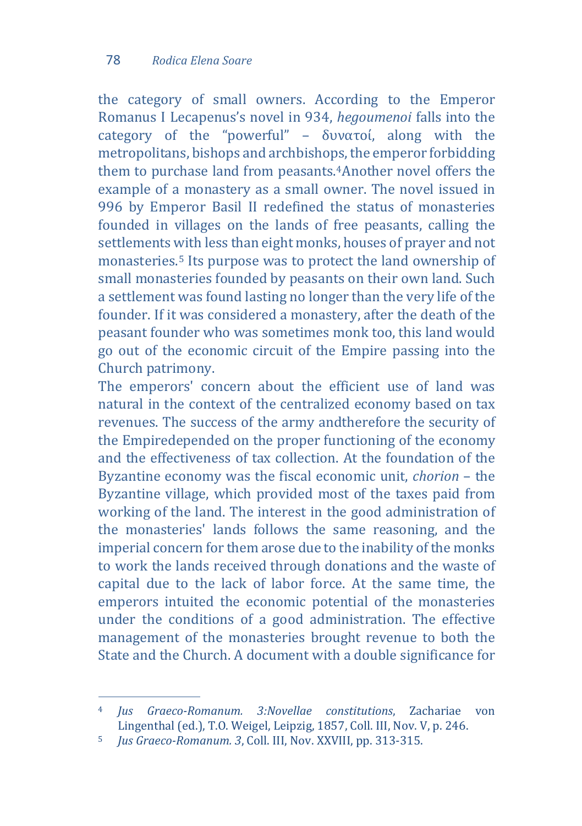the category of small owners. According to the Emperor Romanus I Lecapenus's novel in 934, *hegoumenoi* falls into the category of the "powerful" – δυνατοί, along with the metropolitans, bisho[ps](#page-3-0) and archbishops, the emperor forbidding them to purchase land from peasants.<sup>4</sup>Another novel offers the example of a monastery as a small owner. The novel issued in 996 by Emperor Basil II redefined the status of monasteries founded in villages on the lands of free peasants, calling the settlements with less than eight monks, houses of prayer and not monasteries.<sup>[5](#page-3-1)</sup> Its purpose was to protect the land ownership of small monasteries founded by peasants on their own land. Such a settlement was found lasting no longer than the very life of the founder. If it was considered a monastery, after the death of the peasant founder who was sometimes monk too, this land would go out of the economic circuit of the Empire passing into the Church patrimony.

The emperors' concern about the efficient use of land was natural in the context of the centralized economy based on tax revenues. The success of the army andtherefore the security of the Empiredepended on the proper functioning of the economy and the effectiveness of tax collection. At the foundation of the Byzantine economy was the fiscal economic unit, *chorion* – the Byzantine village, which provided most of the taxes paid from working of the land. The interest in the good administration of the monasteries' lands follows the same reasoning, and the imperial concern for them arose due to the inability of the monks to work the lands received through donations and the waste of capital due to the lack of labor force. At the same time, the emperors intuited the economic potential of the monasteries under the conditions of a good administration. The effective management of the monasteries brought revenue to both the State and the Church. A document with a double significance for

<span id="page-3-0"></span> $\overline{4}$ <sup>4</sup> *Jus Graeco-Romanum. 3:Novellae constitutions*, Zachariae von Lingenthal (ed.), T.O. Weigel, Leipzig, 1857, Coll. III, Nov. V, p. 246.

<span id="page-3-1"></span><sup>5</sup> *Jus Graeco-Romanum. 3*, Coll. III, Nov. XXVIII, pp. 313-315.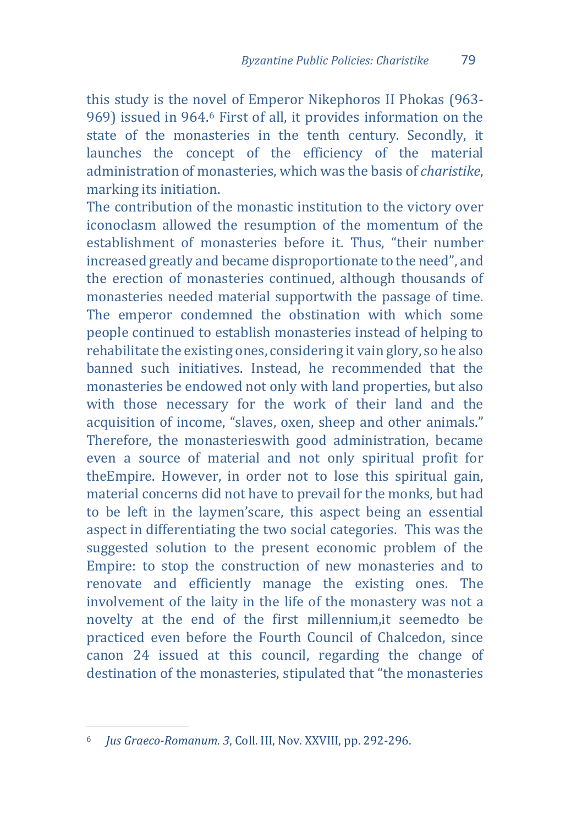this study is the no[v](#page-4-0)el of Emperor Nikephoros II Phokas (963- 969) issued in 964.<sup>6</sup> First of all, it provides information on the state of the monasteries in the tenth century. Secondly, it launches the concept of the efficiency of the material administration of monasteries, which was the basis of *charistike*, marking its initiation.

The contribution of the monastic institution to the victory over iconoclasm allowed the resumption of the momentum of the establishment of monasteries before it. Thus, "their number increased greatly and became disproportionate to the need", and the erection of monasteries continued, although thousands of monasteries needed material supportwith the passage of time. The emperor condemned the obstination with which some people continued to establish monasteries instead of helping to rehabilitate the existing ones, considering it vain glory, so he also banned such initiatives. Instead, he recommended that the monasteries be endowed not only with land properties, but also with those necessary for the work of their land and the acquisition of income, "slaves, oxen, sheep and other animals." Therefore, the monasterieswith good administration, became even a source of material and not only spiritual profit for theEmpire. However, in order not to lose this spiritual gain, material concerns did not have to prevail for the monks, but had to be left in the laymen'scare, this aspect being an essential aspect in differentiating the two social categories. This was the suggested solution to the present economic problem of the Empire: to stop the construction of new monasteries and to renovate and efficiently manage the existing ones. The involvement of the laity in the life of the monastery was not a novelty at the end of the first millennium,it seemedto be practiced even before the Fourth Council of Chalcedon, since canon 24 issued at this council, regarding the change of destination of the monasteries, stipulated that "the monasteries

<span id="page-4-0"></span>j <sup>6</sup> *Jus Graeco-Romanum. 3*, Coll. III, Nov. XXVIII, pp. 292-296.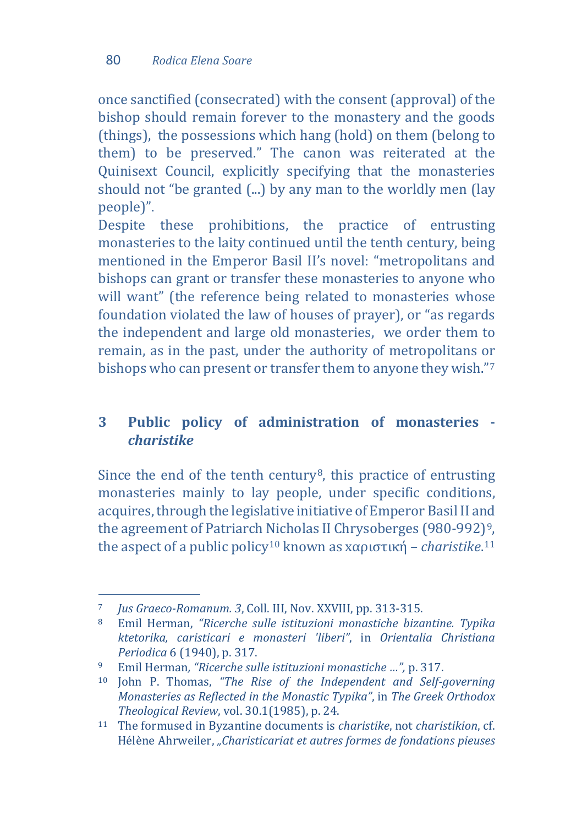once sanctified (consecrated) with the consent (approval) of the bishop should remain forever to the monastery and the goods (things), the possessions which hang (hold) on them (belong to them) to be preserved." The canon was reiterated at the Quinisext Council, explicitly specifying that the monasteries should not "be granted (...) by any man to the worldly men (lay people)".

Despite these prohibitions, the practice of entrusting monasteries to the laity continued until the tenth century, being mentioned in the Emperor Basil II's novel: "metropolitans and bishops can grant or transfer these monasteries to anyone who will want" (the reference being related to monasteries whose foundation violated the law of houses of prayer), or "as regards the independent and large old monasteries, we order them to remain, as in the past, under the authority of metropolitans or bishops who can present or transfer them to anyone they wish.["7](#page-5-0)

# **3 Public policy of administration of monasteries**  *charistike*

Since the end of the tenth century<sup>8</sup>, this practice of entrusting monasteries mainly to lay people, under specific conditions, acquires, through the legislative initiative of Emperor Basil II and the agreement of Patriarch [Nic](#page-5-3)holas II Chrysoberges (980-992)<sup>9</sup>, the aspect of a public policy10 known as xαριστική – *charistike*.11

<sup>7</sup> *Jus Graeco-Romanum. 3, Coll. III, Nov. XXVIII, pp. 313-315.* 

<span id="page-5-1"></span><span id="page-5-0"></span><sup>7</sup> *Jus Graeco-Romanum. 3*, Coll. III, Nov. XXVIII, pp. 313-315. 8 Emil Herman, *"Ricerche sulle istituzioni monastiche bizantine. Typika ktetorika, caristicari e monasteri 'liberi"*, in *Orientalia Christiana Periodica* 6 (1940), p. 317.

<span id="page-5-2"></span><sup>9</sup> Emil Herman*, "Ricerche sulle istituzioni monastiche …",* p. 317.

<span id="page-5-3"></span><sup>10</sup> John P. Thomas, *"The Rise of the Independent and Self-governing Monasteries as Reflected in the Monastic Typika"*, in *The Greek Orthodox Theological Review*, vol. 30.1(1985), p. 24.

<span id="page-5-4"></span><sup>11</sup> The formused in Byzantine documents is *charistike*, not *charistikion*, cf. Hélène Ahrweiler, *"Charisticariat et autres formes de fondations pieuses*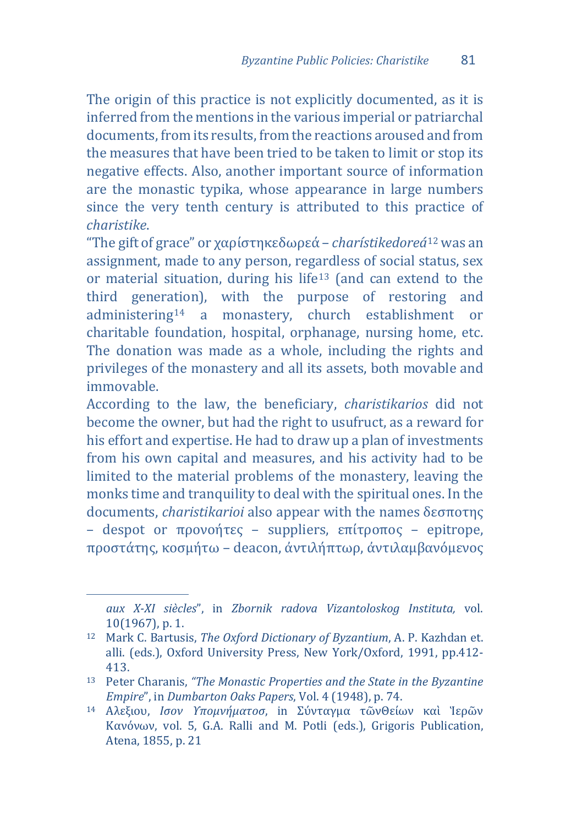The origin of this practice is not explicitly documented, as it is inferred from the mentions in the various imperial or patriarchal documents, from its results, from the reactions aroused and from the measures that have been tried to be taken to limit or stop its negative effects. Also, another important source of information are the monastic typika, whose appearance in large numbers since the very tenth century is attributed to this practice of *charistike*.

"The gift of grace" or χαρίστηκεδωρεά – *charístikedoreá*<sup>12</sup> was an assignment, made to any person, regardless of social s[tat](#page-6-0)us, sex or material situation, during his life[13](#page-6-1) (and can extend to the third genera[tio](#page-6-2)n), with the purpose of restoring and administering<sup>14</sup> a monastery, church establishment or charitable foundation, hospital, orphanage, nursing home, etc. The donation was made as a whole, including the rights and privileges of the monastery and all its assets, both movable and immovable.

According to the law, the beneficiary, *charistikarios* did not become the owner, but had the right to usufruct, as a reward for his effort and expertise. He had to draw up a plan of investments from his own capital and measures, and his activity had to be limited to the material problems of the monastery, leaving the monks time and tranquility to deal with the spiritual ones. In the documents, *charistikarioi* also appear with the names δεσποτης – despot or προνοήτες – suppliers, επίτροπος – epitrope, προστάτης, κοσμήτω – deacon, ἀντιλήπτωρ, ἀντιλαμβανόμενος

j

*aux X-XI siècles*", in *Zbornik radova Vizantoloskog Instituta,* vol. 10(1967), p. 1.

<span id="page-6-0"></span><sup>12</sup> Mark C. Bartusis, *The Oxford Dictionary of Byzantium*, A. P. Kazhdan et. alli. (eds.), Oxford University Press, New York/Oxford, 1991, pp.412- 413.

<span id="page-6-1"></span><sup>13</sup> Peter Charanis, *"The Monastic Properties and the State in the Byzantine Empire*", in *Dumbarton Oaks Papers*, Vol. 4 (1948), p. 74.

<span id="page-6-2"></span><sup>14</sup> Αλεξιου, *Ισον Υπομνήματοσ*, in Σύνταγμα τῶνΘείων καὶ Ἱερῶν Κανόνων, vol. 5, G.A. Ralli and M. Potli (eds.), Grigoris Publication, Atena, 1855, p. 21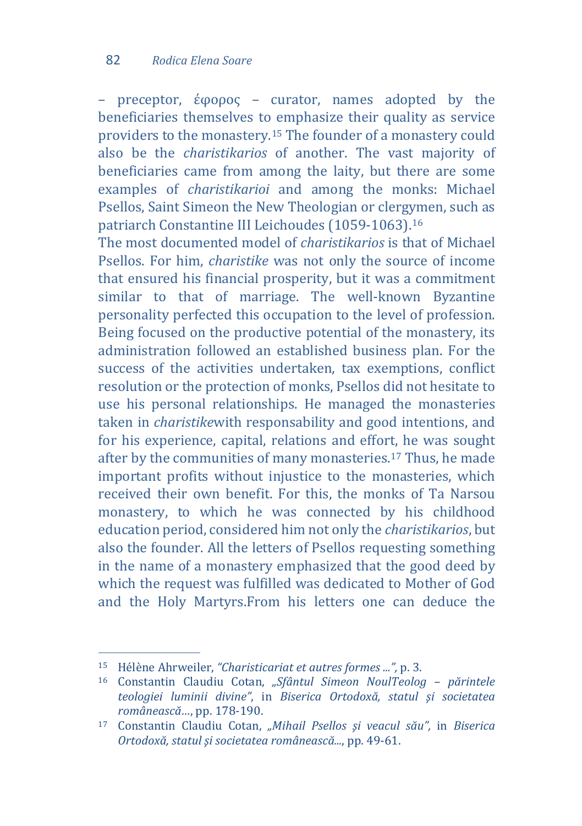– preceptor, έφορος – curator, names adopted by the beneficiaries themselves to emphasize their quality as service providers to the monastery.[15](#page-7-0) The founder of a monastery could also be the *charistikarios* of another. The vast majority of beneficiaries came from among the laity, but there are some examples of *charistikarioi* and among the monks: Michael Psellos, Saint Simeon the New Theologian or clergymen, such as patriarch Constantine III Leichoudes (1059-1063)[.16](#page-7-1)

The most documented model of *charistikarios* is that of Michael Psellos. For him, *charistike* was not only the source of income that ensured his financial prosperity, but it was a commitment similar to that of marriage. The well-known Byzantine personality perfected this occupation to the level of profession. Being focused on the productive potential of the monastery, its administration followed an established business plan. For the success of the activities undertaken, tax exemptions, conflict resolution or the protection of monks, Psellos did not hesitate to use his personal relationships. He managed the monasteries taken in *charistike*with responsability and good intentions, and for his experience, capital, relations and effort, he was sought after by the communities of many monasteries.[17](#page-7-2) Thus, he made important profits without injustice to the monasteries, which received their own benefit. For this, the monks of Ta Narsou monastery, to which he was connected by his childhood education period, considered him not only the *charistikarios*, but also the founder. All the letters of Psellos requesting something in the name of a monastery emphasized that the good deed by which the request was fulfilled was dedicated to Mother of God and the Holy Martyrs.From his letters one can deduce the

<span id="page-7-0"></span>j <sup>15</sup> Hélène Ahrweiler, *"Charisticariat et autres formes ...",* p. 3.

<span id="page-7-1"></span><sup>16</sup> Constantin Claudiu Cotan, *"Sfântul Simeon NoulTeolog – părintele teologiei luminii divine"*, in *Biserica Ortodoxă, statul şi societatea românească…*, pp. 178-190.

<span id="page-7-2"></span><sup>17</sup> Constantin Claudiu Cotan, *"Mihail Psellos şi veacul său",* in *Biserica Ortodoxă, statul şi societatea românească...*, pp. 49-61.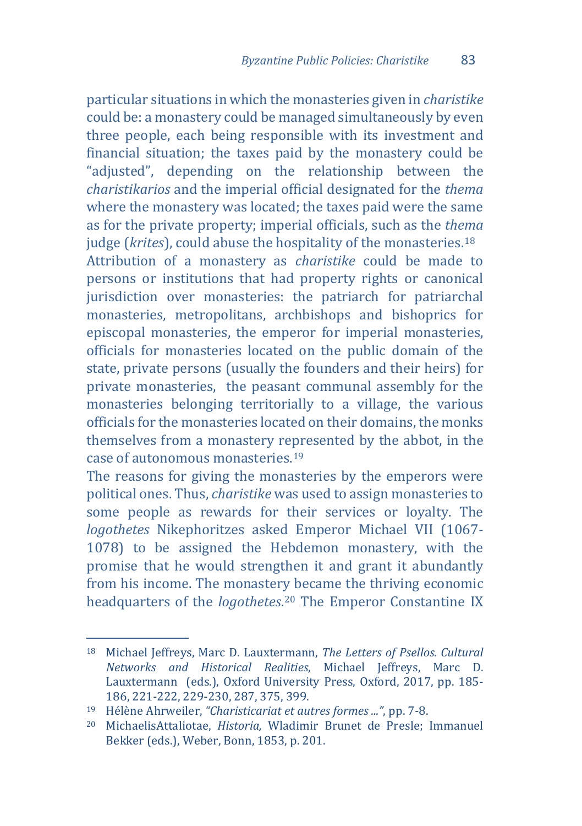particular situations in which the monasteries given in *charistike* could be: a monastery could be managed simultaneously by even three people, each being responsible with its investment and financial situation; the taxes paid by the monastery could be "adjusted", depending on the relationship between the *charistikarios* and the imperial official designated for the *thema* where the monastery was located; the taxes paid were the same as for the private property; imperial officials, such as the *thema* judge (*krites*), could abuse the hospitality of the monasteries.[18](#page-8-0) Attribution of a monastery as *charistike* could be made to persons or institutions that had property rights or canonical jurisdiction over monasteries: the patriarch for patriarchal monasteries, metropolitans, archbishops and bishoprics for episcopal monasteries, the emperor for imperial monasteries, officials for monasteries located on the public domain of the state, private persons (usually the founders and their heirs) for private monasteries, the peasant communal assembly for the monasteries belonging territorially to a village, the various officials for the monasteries located on their domains, the monks themselves from a monastery represented by the abbot, in the case of autonomous monasteries.[19](#page-8-1)

The reasons for giving the monasteries by the emperors were political ones. Thus, *charistike* was used to assign monasteries to some people as rewards for their services or loyalty. The *logothetes* Nikephoritzes asked Emperor Michael VII (1067- 1078) to be assigned the Hebdemon monastery, with the promise that he would strengthen it and grant it abundantly from his income. The monastery became the thriving economic headquarters of the *logothetes*[.20](#page-8-2) The Emperor Constantine IX

<span id="page-8-0"></span>j <sup>18</sup> Michael Jeffreys, Marc D. Lauxtermann, *The Letters of Psellos. Cultural Networks and Historical Realities*, Michael Jeffreys, Marc D. Lauxtermann (eds.), Oxford University Press, Oxford, 2017, pp. 185- 186, 221-222, 229-230, 287, 375, 399.

<span id="page-8-1"></span><sup>19</sup> Hélène Ahrweiler, *"Charisticariat et autres formes ..."*, pp. 7-8.

<span id="page-8-2"></span><sup>20</sup> MichaelisAttaliotae, *Historia,* Wladimir Brunet de Presle; Immanuel Bekker (eds.), Weber, Bonn, 1853, p. 201.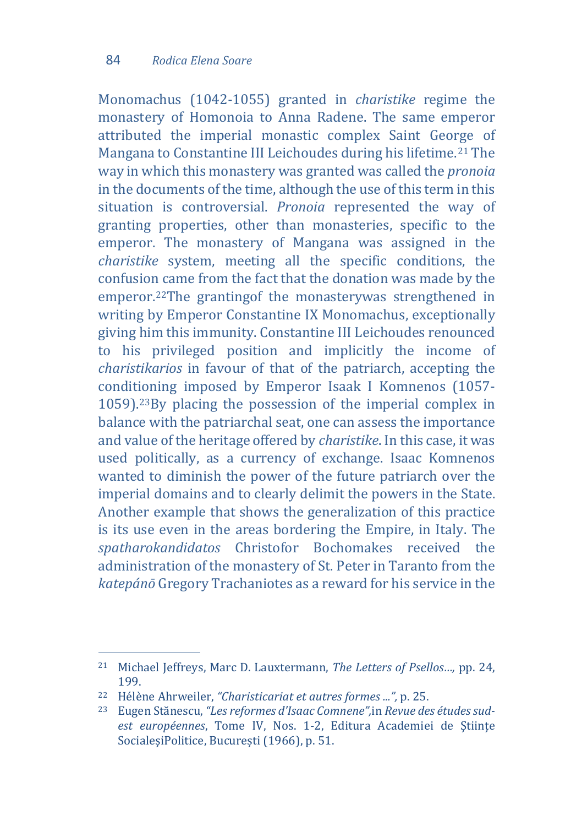Monomachus (1042-1055) granted in *charistike* regime the monastery of Homonoia to Anna Radene. The same emperor attributed the imperial monastic complex Saint George of Mangana to Constantine III Leichoudes during his lifetime.[21](#page-9-0) The way in which this monastery was granted was called the *pronoia* in the documents of the time, although the use of this term in this situation is controversial. *Pronoia* represented the way of granting properties, other than monasteries, specific to the emperor. The monastery of Mangana was assigned in the *charistike* system, meeting all the specific conditions, the confusion came from the fact that the donation was made by the emperor.[22](#page-9-1)The grantingof the monasterywas strengthened in writing by Emperor Constantine IX Monomachus, exceptionally giving him this immunity. Constantine III Leichoudes renounced to his privileged position and implicitly the income of *charistikarios* in favour of that of the patriarch, accepting the conditioning imposed by Emperor Isaak I Komnenos (1057- 1059).[23](#page-9-2)By placing the possession of the imperial complex in balance with the patriarchal seat, one can assess the importance and value of the heritage offered by *charistike*. In this case, it was used politically, as a currency of exchange. Isaac Komnenos wanted to diminish the power of the future patriarch over the imperial domains and to clearly delimit the powers in the State. Another example that shows the generalization of this practice is its use even in the areas bordering the Empire, in Italy. The *spatharokandidatos* Christofor Bochomakes received the administration of the monastery of St. Peter in Taranto from the *katepánō* Gregory Trachaniotes as a reward for his service in the

<span id="page-9-0"></span>j <sup>21</sup> Michael Jeffreys, Marc D. Lauxtermann, *The Letters of Psellos…,* pp. 24, 199.

<span id="page-9-1"></span><sup>22</sup> Hélène Ahrweiler, *"Charisticariat et autres formes ...",* p. 25.

<span id="page-9-2"></span><sup>23</sup> Eugen Stănescu, *"Les reformes d'Isaac Comnene",*in *Revue des études sudest européennes*, Tome IV, Nos. 1-2, Editura Academiei de Ştiinţe SocialeşiPolitice, București (1966), p. 51.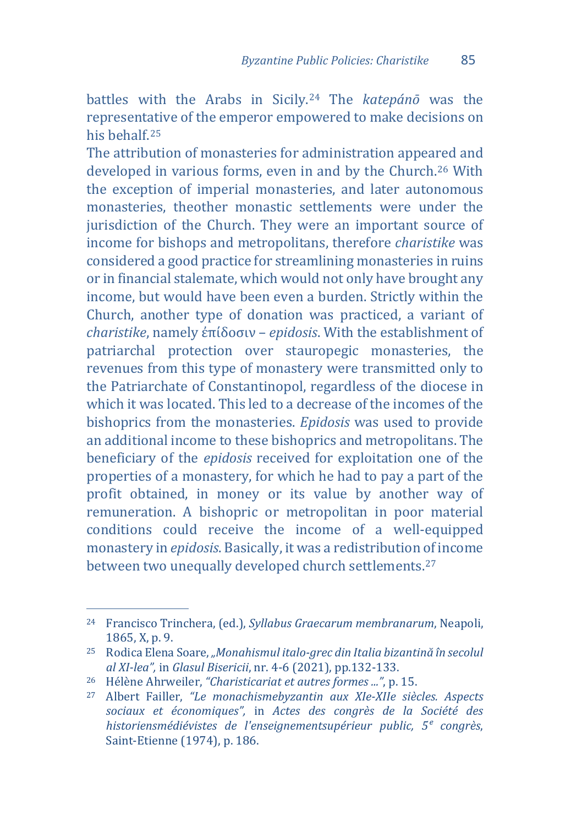battles with the Arabs in Sicily.<sup>24</sup> The *katepánō* was the representative of the emperor emp[ow](#page-10-0)ered to make decisions on his behalf[.25](#page-10-1)

The attribution of monasteries for administration appea[red](#page-10-2) and developed in various forms, even in and by the Church.26 With the exception of imperial monasteries, and later autonomous monasteries, theother monastic settlements were under the jurisdiction of the Church. They were an important source of income for bishops and metropolitans, therefore *charistike* was considered a good practice for streamlining monasteries in ruins or in financial stalemate, which would not only have brought any income, but would have been even a burden. Strictly within the Church, another type of donation was practiced, a variant of *charistike*, namely ἐπίδοσιν – *epidosis*. With the establishment of patriarchal protection over stauropegic monasteries, the revenues from this type of monastery were transmitted only to the Patriarchate of Constantinopol, regardless of the diocese in which it was located. This led to a decrease of the incomes of the bishoprics from the monasteries. *Epidosis* was used to provide an additional income to these bishoprics and metropolitans. The beneficiary of the *epidosis* received for exploitation one of the properties of a monastery, for which he had to pay a part of the profit obtained, in money or its value by another way of remuneration. A bishopric or metropolitan in poor material conditions could receive the income of a well-equipped monastery in *epidosis*. Basically, it was a redistribution of income between two unequally developed church settlements.[27](#page-10-3)

<span id="page-10-0"></span>j <sup>24</sup> Francisco Trinchera, (ed.), *Syllabus Graecarum membranarum*, Neapoli, 1865, X, p. 9.

<span id="page-10-1"></span><sup>25</sup> Rodica Elena Soare, *"Monahismul italo-grec din Italia bizantină în secolul al XI-lea",* in *Glasul Bisericii*, nr. 4-6 (2021), pp.132-133.

<span id="page-10-2"></span><sup>26</sup> Hélène Ahrweiler, *"Charisticariat et autres formes ..."*, p. 15.

<span id="page-10-3"></span><sup>27</sup> Albert Failler, *"Le monachismebyzantin aux XIe-XIIe siècles. Aspects sociaux et économiques",* in *Actes des congrès de la Société des historiensmédiévistes de l'enseignementsupérieur public, 5ᵉ congrès*, Saint-Etienne (1974), p. 186.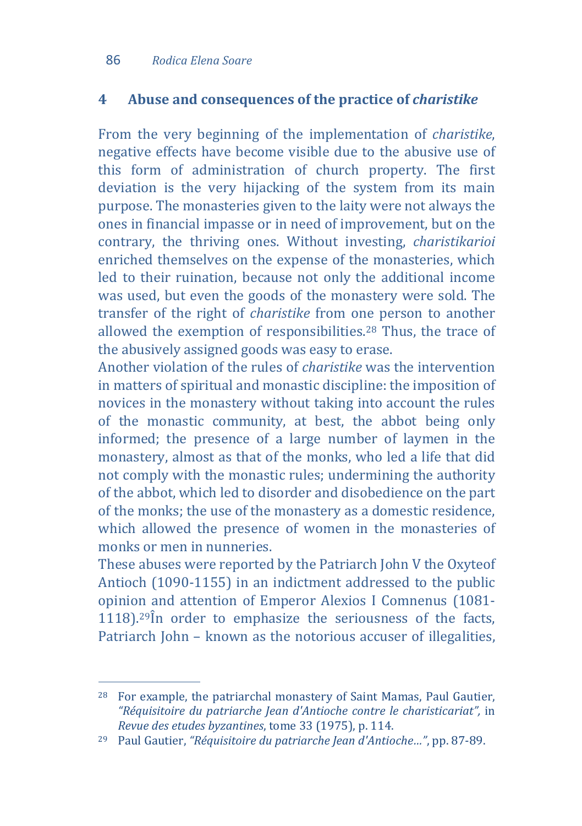# **4 Abuse and consequences of the practice of** *charistike*

From the very beginning of the implementation of *charistike*, negative effects have become visible due to the abusive use of this form of administration of church property. The first deviation is the very hijacking of the system from its main purpose. The monasteries given to the laity were not always the ones in financial impasse or in need of improvement, but on the contrary, the thriving ones. Without investing, *charistikarioi* enriched themselves on the expense of the monasteries, which led to their ruination, because not only the additional income was used, but even the goods of the monastery were sold. The transfer of the right of *charistike* from one person to another allowed the exemption of responsibilities.[28](#page-11-0) Thus, the trace of the abusively assigned goods was easy to erase.

Another violation of the rules of *charistike* was the intervention in matters of spiritual and monastic discipline: the imposition of novices in the monastery without taking into account the rules of the monastic community, at best, the abbot being only informed; the presence of a large number of laymen in the monastery, almost as that of the monks, who led a life that did not comply with the monastic rules; undermining the authority of the abbot, which led to disorder and disobedience on the part of the monks; the use of the monastery as a domestic residence, which allowed the presence of women in the monasteries of monks or men in nunneries.

These abuses were reported by the Patriarch John V the Oxyteof Antioch (1090-1155) in an indictment addressed to the public opinion and attention of Emperor Alexios I Comnenus (1081-  $1118$ ).<sup>[29](#page-11-1)</sup>În order to emphasize the seriousness of the facts, Patriarch John – known as the notorious accuser of illegalities,

<span id="page-11-0"></span>j <sup>28</sup> For example, the patriarchal monastery of Saint Mamas, Paul Gautier, *"Réquisitoire du patriarche Jean d'Antioche contre le charisticariat",* in *Revue des etudes byzantines*, tome 33 (1975), p. 114.

<span id="page-11-1"></span><sup>29</sup> Paul Gautier, *"Réquisitoire du patriarche Jean d'Antioche…"*, pp. 87-89.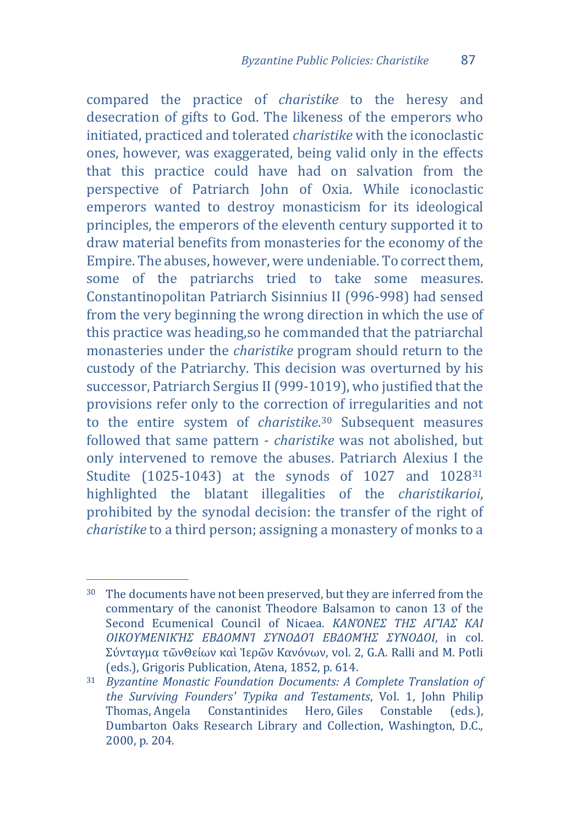compared the practice of *charistike* to the heresy and desecration of gifts to God. The likeness of the emperors who initiated, practiced and tolerated *charistike* with the iconoclastic ones, however, was exaggerated, being valid only in the effects that this practice could have had on salvation from the perspective of Patriarch John of Oxia. While iconoclastic emperors wanted to destroy monasticism for its ideological principles, the emperors of the eleventh century supported it to draw material benefits from monasteries for the economy of the Empire. The abuses, however, were undeniable. To correct them, some of the patriarchs tried to take some measures. Constantinopolitan Patriarch Sisinnius II (996-998) had sensed from the very beginning the wrong direction in which the use of this practice was heading,so he commanded that the patriarchal monasteries under the *charistike* program should return to the custody of the Patriarchy. This decision was overturned by his successor, Patriarch Sergius II (999-1019), who justified that the provisions refer only to the correction of irregularities and not to the entire system of *charistike*.[30](#page-12-0) Subsequent measures followed that same pattern - *charistike* was not abolished, but only intervened to remove the abuses. Patriarch Alexius I t[he](#page-12-1)  Studite (1025-1043) at the synods of 1027 and 1028<sup>31</sup> highlighted the blatant illegalities of the *charistikarioi*, prohibited by the synodal decision: the transfer of the right of *charistike* to a third person; assigning a monastery of monks to a

<span id="page-12-0"></span>j  $30\,\,\,\hbox{T}$  The documents have not been preserved, but they are inferred from the commentary of the canonist Theodore Balsamon to canon 13 of the Second Ecumenical Council of Nicaea. *ΚΑΝΌΝΕΣ ΤΗΣ ΑΓΊΑΣ ΚΑΙ ΟΙΚΟΥΜΕΝΙΚΉΣ ΕΒΔΟΜΝΊ ΣΥΝΟΔΟΊ ΕΒΔΟΜΉΣ ΣΥΝΟΔΟΙ*, in col. Σύνταγμα τῶνΘείων καὶ Ἱερῶν Κανόνων, vol. 2, G.A. Ralli and M. Potli (eds.), Grigoris Publication, Atena, 1852, p. 614.

<span id="page-12-1"></span><sup>31</sup> *Byzantine Monastic Foundation Documents: A Complete Translation of the Surviving Founders' Typika and Testaments*, Vol. 1, John Philip Constantinides Hero, Giles Dumbarton Oaks Research Library and Collection, Washington, D.C., 2000, p. 204*.*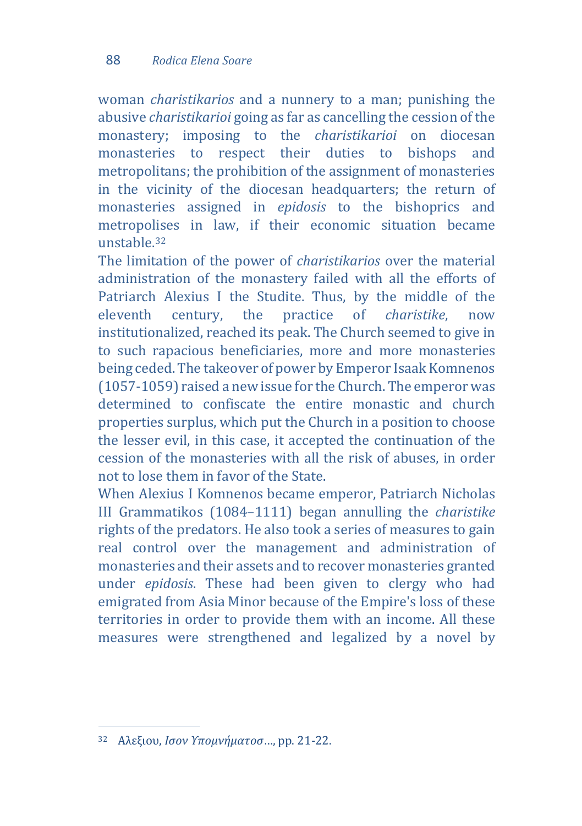woman *charistikarios* and a nunnery to a man; punishing the abusive *charistikarioi* going as far as cancelling the cession of the monastery; imposing to the *charistikarioi* on diocesan monasteries to respect their duties to bishops metropolitans; the prohibition of the assignment of monasteries in the vicinity of the diocesan headquarters; the return of monasteries assigned in *epidosis* to the bishoprics and metropolises in law, if their economic situation became unstable.[32](#page-13-0)

The limitation of the power of *charistikarios* over the material administration of the monastery failed with all the efforts of Patriarch Alexius I the Studite. Thus, by the middle of the eleventh century, the practice of *charistike*, now eleventh century, the practice of *charistike*, now institutionalized, reached its peak. The Church seemed to give in to such rapacious beneficiaries, more and more monasteries being ceded. The takeover of power by Emperor Isaak Komnenos (1057-1059) raised a new issue for the Church. The emperor was determined to confiscate the entire monastic and church properties surplus, which put the Church in a position to choose the lesser evil, in this case, it accepted the continuation of the cession of the monasteries with all the risk of abuses, in order not to lose them in favor of the State.

When Alexius I Komnenos became emperor, Patriarch Nicholas III Grammatikos (1084–1111) began annulling the *charistike* rights of the predators. He also took a series of measures to gain real control over the management and administration of monasteries and their assets and to recover monasteries granted under *epidosis*. These had been given to clergy who had emigrated from Asia Minor because of the Empire's loss of these territories in order to provide them with an income. All these measures were strengthened and legalized by a novel by

<span id="page-13-0"></span>j <sup>32</sup> Αλεξιου, *Ισον Υπομνήματοσ*…, pp. 21-22.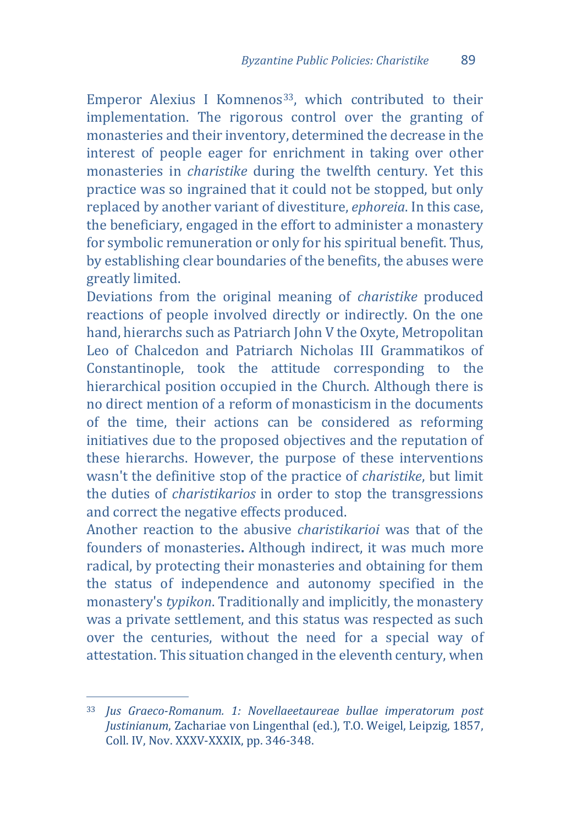Emperor Alexius I Komnenos<sup>33</sup>, which contributed to their implementation. The rigorous control over the granting of monasteries and their inventory, determined the decrease in the interest of people eager for enrichment in taking over other monasteries in *charistike* during the twelfth century. Yet this practice was so ingrained that it could not be stopped, but only replaced by another variant of divestiture, *ephoreia*. In this case, the beneficiary, engaged in the effort to administer a monastery for symbolic remuneration or only for his spiritual benefit. Thus, by establishing clear boundaries of the benefits, the abuses were greatly limited.

Deviations from the original meaning of *charistike* produced reactions of people involved directly or indirectly. On the one hand, hierarchs such as Patriarch John V the Oxyte, Metropolitan Leo of Chalcedon and Patriarch Nicholas III Grammatikos of Constantinople, took the attitude corresponding to the hierarchical position occupied in the Church. Although there is no direct mention of a reform of monasticism in the documents of the time, their actions can be considered as reforming initiatives due to the proposed objectives and the reputation of these hierarchs. However, the purpose of these interventions wasn't the definitive stop of the practice of *charistike*, but limit the duties of *charistikarios* in order to stop the transgressions and correct the negative effects produced.

Another reaction to the abusive *charistikarioi* was that of the founders of monasteries**.** Although indirect, it was much more radical, by protecting their monasteries and obtaining for them the status of independence and autonomy specified in the monastery's *typikon*. Traditionally and implicitly, the monastery was a private settlement, and this status was respected as such over the centuries, without the need for a special way of attestation. This situation changed in the eleventh century, when

<span id="page-14-0"></span>j <sup>33</sup> *Jus Graeco-Romanum. 1: Novellaeetaureae bullae imperatorum post Justinianum*, Zachariae von Lingenthal (ed.), T.O. Weigel, Leipzig, 1857, Coll. IV, Nov. XXXV-XXXIX, pp. 346-348.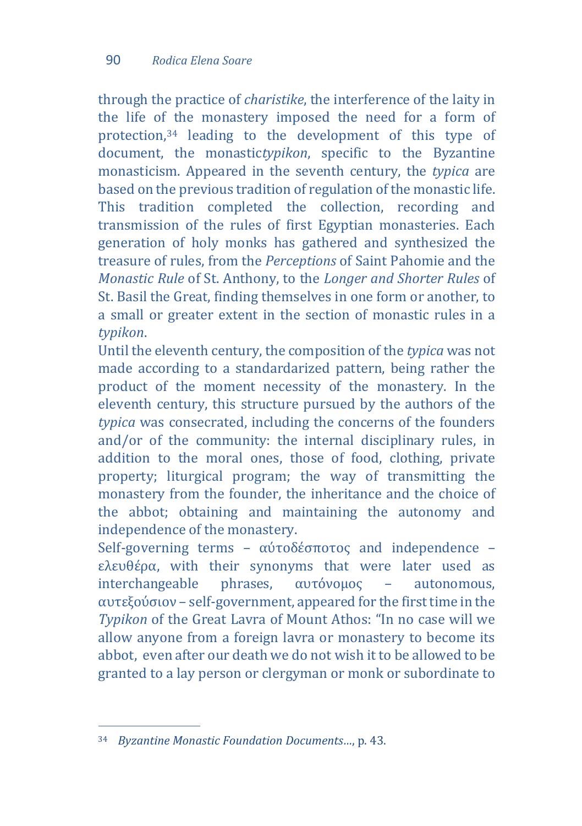through the practice of *charistike*, the interference of the laity in the life of [t](#page-15-0)he monastery imposed the need for a form of protection,<sup>34</sup> leading to the development of this type of document, the monastic*typikon*, specific to the Byzantine monasticism. Appeared in the seventh century, the *typica* are based on the previous tradition of regulation of the monastic life. This tradition completed the collection, recording and transmission of the rules of first Egyptian monasteries. Each generation of holy monks has gathered and synthesized the treasure of rules, from the *Perceptions* of Saint Pahomie and the *Monastic Rule* of St. Anthony, to the *Longer and Shorter Rules* of St. Basil the Great, finding themselves in one form or another, to a small or greater extent in the section of monastic rules in a *typikon*.

Until the eleventh century, the composition of the *typica* was not made according to a standardarized pattern, being rather the product of the moment necessity of the monastery. In the eleventh century, this structure pursued by the authors of the *typica* was consecrated, including the concerns of the founders and/or of the community: the internal disciplinary rules, in addition to the moral ones, those of food, clothing, private property; liturgical program; the way of transmitting the monastery from the founder, the inheritance and the choice of the abbot; obtaining and maintaining the autonomy and independence of the monastery.

Self-governing terms – αύτοδέσποτος and independence – ελευθέρα, with their synonyms that were later used as interchangeable phrases,  $α$ ντόνομος – autonomous, interchangeable phrases, αυτόνομος – autonomous, αυτεξούσιον – self-government, appeared for the first time in the *Typikon* of the Great Lavra of Mount Athos: "In no case will we allow anyone from a foreign lavra or monastery to become its abbot, even after our death we do not wish it to be allowed to be granted to a lay person or clergyman or monk or subordinate to

<span id="page-15-0"></span>j <sup>34</sup> *Byzantine Monastic Foundation Documents…*, p. 43.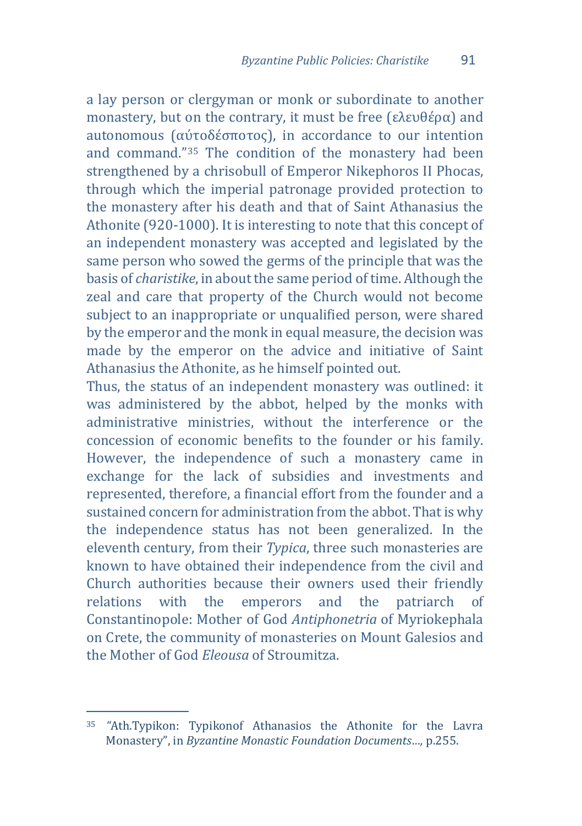a lay person or clergyman or monk or subordinate to another monastery, but on the contrary, it must be free (ελευθέρα) and autonomous (αύτοδέσποτος), in accordance to our intention and command."[35](#page-16-0) The condition of the monastery had been strengthened by a chrisobull of Emperor Nikephoros II Phocas, through which the imperial patronage provided protection to the monastery after his death and that of Saint Athanasius the Athonite (920-1000). It is interesting to note that this concept of an independent monastery was accepted and legislated by the same person who sowed the germs of the principle that was the basis of *charistike*, in about the same period of time. Although the zeal and care that property of the Church would not become subject to an inappropriate or unqualified person, were shared by the emperor and the monk in equal measure, the decision was made by the emperor on the advice and initiative of Saint Athanasius the Athonite, as he himself pointed out.

Thus, the status of an independent monastery was outlined: it was administered by the abbot, helped by the monks with administrative ministries, without the interference or the concession of economic benefits to the founder or his family. However, the independence of such a monastery came in exchange for the lack of subsidies and investments and represented, therefore, a financial effort from the founder and a sustained concern for administration from the abbot. That is why the independence status has not been generalized. In the eleventh century, from their *Typica*, three such monasteries are known to have obtained their independence from the civil and Church authorities because their owners used their friendly<br>relations with the emperors and the patriarch of relations with the emperors and the patriarch of Constantinopole: Mother of God *Antiphonetria* of Myriokephala on Crete, the community of monasteries on Mount Galesios and the Mother of God *Eleousa* of Stroumitza.

<span id="page-16-0"></span>j <sup>35</sup> *"*Ath.Typikon: Typikonof Athanasios the Athonite for the Lavra Monastery", in *Byzantine Monastic Foundation Documents…,* p.255.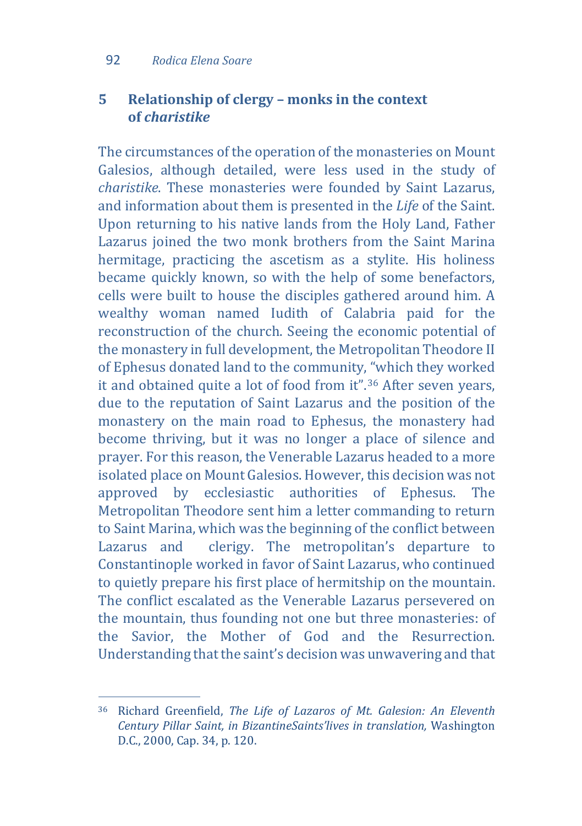# **5 Relationship of clergy – monks in the context of** *charistike*

The circumstances of the operation of the monasteries on Mount Galesios, although detailed, were less used in the study of *charistike*. These monasteries were founded by Saint Lazarus, and information about them is presented in the *Life* of the Saint. Upon returning to his native lands from the Holy Land, Father Lazarus joined the two monk brothers from the Saint Marina hermitage, practicing the ascetism as a stylite. His holiness became quickly known, so with the help of some benefactors, cells were built to house the disciples gathered around him. A wealthy woman named Iudith of Calabria paid for the reconstruction of the church. Seeing the economic potential of the monastery in full development, the Metropolitan Theodore II of Ephesus donated land to the community, "which they worked it and obtained quite a lot of food from it".[36](#page-17-0) After seven years, due to the reputation of Saint Lazarus and the position of the monastery on the main road to Ephesus, the monastery had become thriving, but it was no longer a place of silence and prayer. For this reason, the Venerable Lazarus headed to a more isolated place on Mount Galesios. However, this decision was not approved by ecclesiastic authorities of Ephesus. The Metropolitan Theodore sent him a letter commanding to return to Saint Marina, which was the beginning of the conflict between<br>Lazarus and clerigy. The metropolitan's departure to clerigy. The metropolitan's departure to Constantinople worked in favor of Saint Lazarus, who continued to quietly prepare his first place of hermitship on the mountain. The conflict escalated as the Venerable Lazarus persevered on the mountain, thus founding not one but three monasteries: of the Savior, the Mother of God and the Resurrection. Understanding that the saint's decision was unwavering and that

<span id="page-17-0"></span>j <sup>36</sup> Richard Greenfield, *The Life of Lazaros of Mt. Galesion: An Eleventh Century Pillar Saint, in BizantineSaints'lives in translation,* Washington D.C., 2000, Cap. 34, p. 120.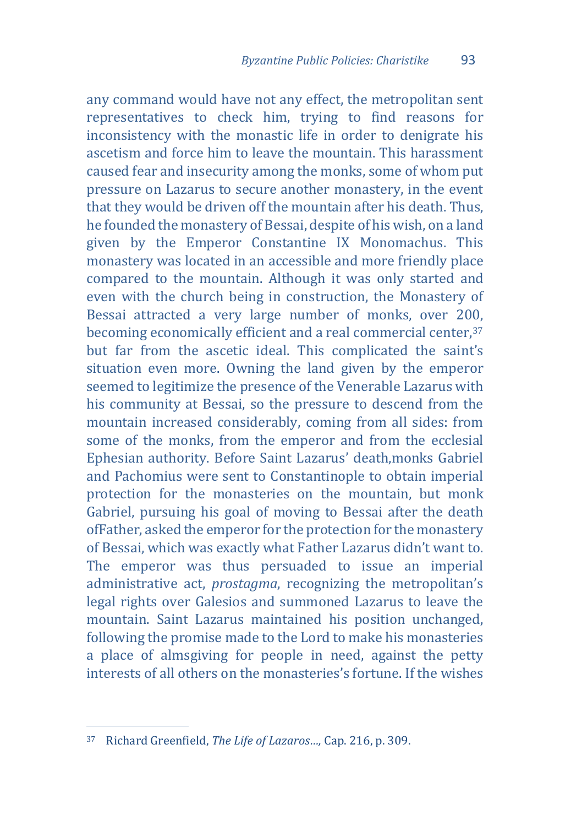any command would have not any effect, the metropolitan sent representatives to check him, trying to find reasons for inconsistency with the monastic life in order to denigrate his ascetism and force him to leave the mountain. This harassment caused fear and insecurity among the monks, some of whom put pressure on Lazarus to secure another monastery, in the event that they would be driven off the mountain after his death. Thus, he founded the monastery of Bessai, despite of his wish, on a land given by the Emperor Constantine IX Monomachus. This monastery was located in an accessible and more friendly place compared to the mountain. Although it was only started and even with the church being in construction, the Monastery of Bessai attracted a very large number of monks, over 200, becoming economically efficient and a real commercial center, [37](#page-18-0) but far from the ascetic ideal. This complicated the saint's situation even more. Owning the land given by the emperor seemed to legitimize the presence of the Venerable Lazarus with his community at Bessai, so the pressure to descend from the mountain increased considerably, coming from all sides: from some of the monks, from the emperor and from the ecclesial Ephesian authority. Before Saint Lazarus' death,monks Gabriel and Pachomius were sent to Constantinople to obtain imperial protection for the monasteries on the mountain, but monk Gabriel, pursuing his goal of moving to Bessai after the death ofFather, asked the emperor for the protection for the monastery of Bessai, which was exactly what Father Lazarus didn't want to. The emperor was thus persuaded to issue an imperial administrative act, *prostagma*, recognizing the metropolitan's legal rights over Galesios and summoned Lazarus to leave the mountain. Saint Lazarus maintained his position unchanged, following the promise made to the Lord to make his monasteries a place of almsgiving for people in need, against the petty interests of all others on the monasteries's fortune. If the wishes

<span id="page-18-0"></span>j <sup>37</sup> Richard Greenfield, *The Life of Lazaros…,* Cap. 216, p. 309.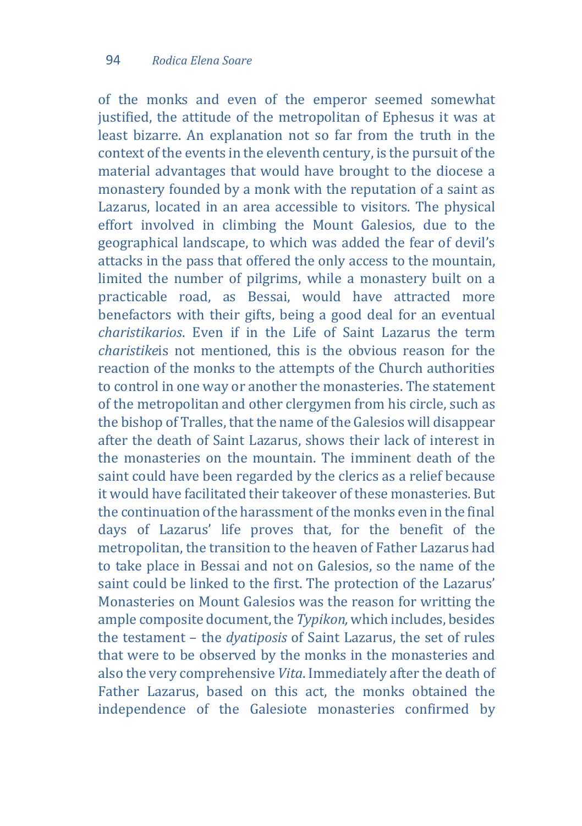of the monks and even of the emperor seemed somewhat justified, the attitude of the metropolitan of Ephesus it was at least bizarre. An explanation not so far from the truth in the context of the events in the eleventh century, is the pursuit of the material advantages that would have brought to the diocese a monastery founded by a monk with the reputation of a saint as Lazarus, located in an area accessible to visitors. The physical effort involved in climbing the Mount Galesios, due to the geographical landscape, to which was added the fear of devil's attacks in the pass that offered the only access to the mountain, limited the number of pilgrims, while a monastery built on a practicable road, as Bessai, would have attracted more benefactors with their gifts, being a good deal for an eventual *charistikarios*. Even if in the Life of Saint Lazarus the term *charistike*is not mentioned, this is the obvious reason for the reaction of the monks to the attempts of the Church authorities to control in one way or another the monasteries. The statement of the metropolitan and other clergymen from his circle, such as the bishop of Tralles, that the name of the Galesios will disappear after the death of Saint Lazarus, shows their lack of interest in the monasteries on the mountain. The imminent death of the saint could have been regarded by the clerics as a relief because it would have facilitated their takeover of these monasteries. But the continuation of the harassment of the monks even in the final days of Lazarus' life proves that, for the benefit of the metropolitan, the transition to the heaven of Father Lazarus had to take place in Bessai and not on Galesios, so the name of the saint could be linked to the first. The protection of the Lazarus' Monasteries on Mount Galesios was the reason for writting the ample composite document, the *Typikon,* which includes, besides the testament – the *dyatiposis* of Saint Lazarus, the set of rules that were to be observed by the monks in the monasteries and also the very comprehensive *Vita*. Immediately after the death of Father Lazarus, based on this act, the monks obtained the independence of the Galesiote monasteries confirmed by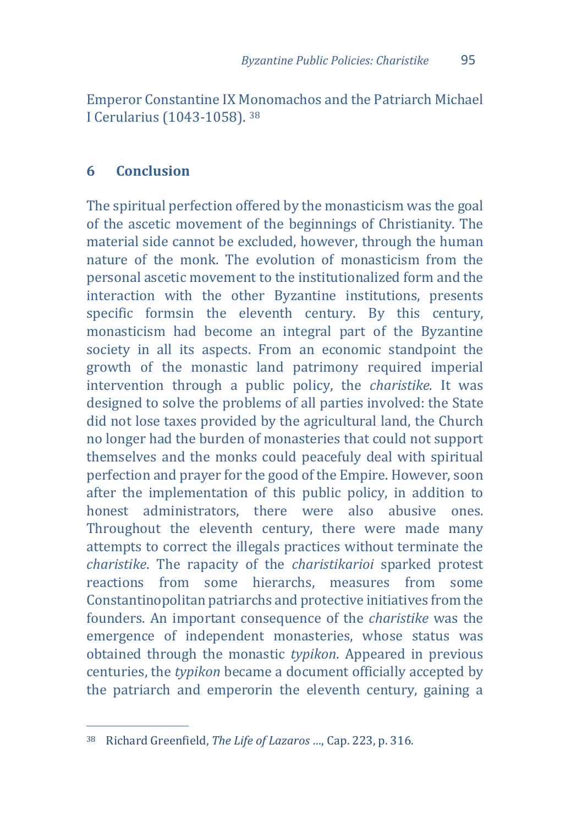Emperor Constantine IX Monomachos and the Patriarch Michael I Cerularius (1043-1058). [38](#page-20-0)

#### **6 Conclusion**

The spiritual perfection offered by the monasticism was the goal of the ascetic movement of the beginnings of Christianity. The material side cannot be excluded, however, through the human nature of the monk. The evolution of monasticism from the personal ascetic movement to the institutionalized form and the interaction with the other Byzantine institutions, presents specific formsin the eleventh century. By this century, monasticism had become an integral part of the Byzantine society in all its aspects. From an economic standpoint the growth of the monastic land patrimony required imperial intervention through a public policy, the *charistike*. It was designed to solve the problems of all parties involved: the State did not lose taxes provided by the agricultural land, the Church no longer had the burden of monasteries that could not support themselves and the monks could peacefuly deal with spiritual perfection and prayer for the good of the Empire. However, soon after the implementation of this public policy, in addition to<br>honest administrators there were also abusive ones honest administrators, there were Throughout the eleventh century, there were made many attempts to correct the illegals practices without terminate the *charistike*. The rapacity of the *charistikarioi* sparked protest reactions from some hierarchs, measures from some Constantinopolitan patriarchs and protective initiatives from the founders. An important consequence of the *charistike* was the emergence of independent monasteries, whose status was obtained through the monastic *typikon*. Appeared in previous centuries, the *typikon* became a document officially accepted by the patriarch and emperorin the eleventh century, gaining a

<span id="page-20-0"></span>j <sup>38</sup> Richard Greenfield, *The Life of Lazaros …*, Cap. 223, p. 316.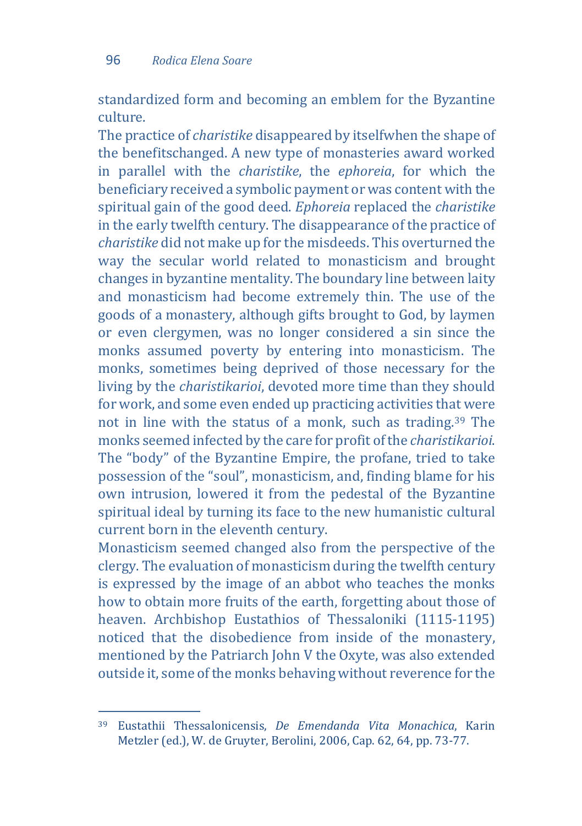standardized form and becoming an emblem for the Byzantine culture.

The practice of *charistike* disappeared by itselfwhen the shape of the benefitschanged. A new type of monasteries award worked in parallel with the *charistike*, the *ephoreia*, for which the beneficiary received a symbolic payment or was content with the spiritual gain of the good deed. *Ephoreia* replaced the *charistike* in the early twelfth century. The disappearance of the practice of *charistike* did not make up for the misdeeds. This overturned the way the secular world related to monasticism and brought changes in byzantine mentality. The boundary line between laity and monasticism had become extremely thin. The use of the goods of a monastery, although gifts brought to God, by laymen or even clergymen, was no longer considered a sin since the monks assumed poverty by entering into monasticism. The monks, sometimes being deprived of those necessary for the living by the *charistikarioi*, devoted more time than they should for work, and some even ended up practicing activities that were not in line with the status of a monk, such as trading.[39](#page-21-0) The monks seemed infected by the care for profit of the *charistikarioi*. The "body" of the Byzantine Empire, the profane, tried to take possession of the "soul", monasticism, and, finding blame for his own intrusion, lowered it from the pedestal of the Byzantine spiritual ideal by turning its face to the new humanistic cultural current born in the eleventh century.

Monasticism seemed changed also from the perspective of the clergy. The evaluation of monasticism during the twelfth century is expressed by the image of an abbot who teaches the monks how to obtain more fruits of the earth, forgetting about those of heaven. Archbishop Eustathios of Thessaloniki (1115-1195) noticed that the disobedience from inside of the monastery, mentioned by the Patriarch John V the Oxyte, was also extended outside it, some of the monks behaving without reverence for the

<span id="page-21-0"></span>j <sup>39</sup> Eustathii Thessalonicensis, *De Emendanda Vita Monachica*, Karin Metzler (ed.), W. de Gruyter, Berolini, 2006, Cap. 62, 64, pp. 73-77.